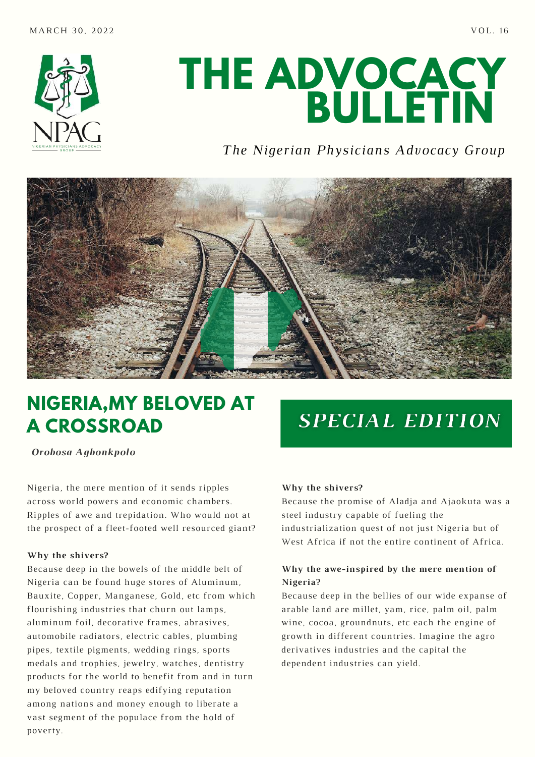

# **THE ADVOCACY BULLETIN**

### *The Nigerian Physicians Advocacy Group*



## **NIGERIA,MY BELOVED AT A CROSSROAD**

*Orobosa Agbonkpolo*

Nigeria, the mere mention of it sends ripples across world powers and economic chambers. Ripples of awe and trepidation. Who would not at the prospect of a fleet-footed well resourced giant?

#### **Why the shivers?**

Because deep in the bowels of the middle belt of Nigeria can be found huge stores of Aluminum, Bauxite, Copper, Manganese, Gold, etc from which flourishing industries that churn out lamps, aluminum foil, decorative frames, abrasives, automobile radiators, electric cables, plumbing pipes, textile pigments, wedding rings, sports medals and trophies, jewelry, watches, dentistry products for the world to benefit from and in turn my beloved country reaps edifying reputation among nations and money enough to liberate a vast segment of the populace from the hold of poverty.

# **SPECIAL EDITION**

#### **Why the shivers?**

Because the promise of Aladja and Ajaokuta was a steel industry capable of fueling the industrialization quest of not just Nigeria but of West Africa if not the entire continent of Africa.

#### **Why the awe-inspired by the mere mention of Nigeria?**

Because deep in the bellies of our wide expanse of arable land are millet, yam, rice, palm oil, palm wine, cocoa, groundnuts, etc each the engine of growth in different countries. Imagine the agro derivatives industries and the capital the dependent industries can yield.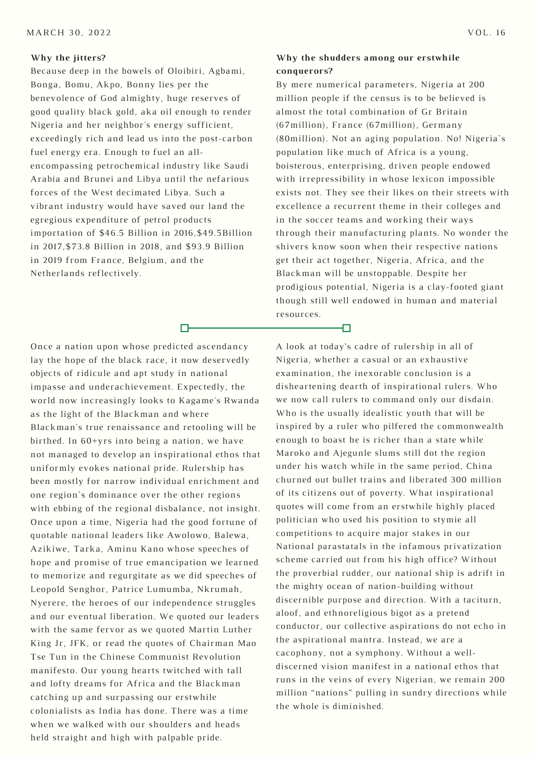#### **Why the jitters?**

Because deep in the bowels of Oloibiri, Agbami, Bonga, Bomu, Akpo, Bonny lies per the benevolence of God almighty, huge reserves of good quality black gold, aka oil enough to render Nigeria and her neighbor's energy sufficient, exceedingly rich and lead us into the post-carbon fuel energy era. Enough to fuel an allencompassing petrochemical industry like Saudi Arabia and Brunei and Libya until the nefarious forces of the West decimated Libya. Such a vibrant industry would have saved our land the egregious expenditure of petrol products importation of \$46.5 Billion in 2016,\$49.5Billion in 2017,\$73.8 Billion in 2018, and \$93.9 Billion in 2019 from France, Belgium, and the Netherlands reflectively.

m-

#### **Why the shudders among our erstwhile conquerors?**

By mere numerical parameters, Nigeria at 200 million people if the census is to be believed is almost the total combination of Gr Britain (67million), France (67million), Germany (80million). Not an aging population. No! Nigeria`s population like much of Africa is a young, boisterous, enterprising, driven people endowed with irrepressibility in whose lexicon impossible exists not. They see their likes on their streets with excellence a recurrent theme in their colleges and in the soccer teams and working their ways through their manufacturing plants. No wonder the shivers know soon when their respective nations get their act together, Nigeria, Africa, and the Blackman will be unstoppable. Despite her prodigious potential, Nigeria is a clay-footed giant though still well endowed in human and material resources.

Ð

Once a nation upon whose predicted ascendancy lay the hope of the black race, it now deservedly objects of ridicule and apt study in national impasse and underachievement. Expectedly, the world now increasingly looks to Kagame's Rwanda as the light of the Blackman and where Blackman's true renaissance and retooling will be birthed. In 60+yrs into being a nation, we have not managed to develop an inspirational ethos that uniformly evokes national pride. Rulership has been mostly for narrow individual enrichment and one region`s dominance over the other regions with ebbing of the regional disbalance, not insight. Once upon a time, Nigeria had the good fortune of quotable national leaders like Awolowo, Balewa, Azikiwe, Tarka, Aminu Kano whose speeches of hope and promise of true emancipation we learned to memorize and regurgitate as we did speeches of Leopold Senghor, Patrice Lumumba, Nkrumah, Nyerere, the heroes of our independence struggles and our eventual liberation. We quoted our leaders with the same fervor as we quoted Martin Luther King Jr, JFK, or read the quotes of Chairman Mao Tse Tun in the Chinese Communist Revolution manifesto. Our young hearts twitched with tall and lofty dreams for Africa and the Blackman catching up and surpassing our erstwhile colonialists as India has done. There was a time when we walked with our shoulders and heads held straight and high with palpable pride.

A look at today's cadre of rulership in all of Nigeria, whether a casual or an exhaustive examination, the inexorable conclusion is a disheartening dearth of inspirational rulers. Who we now call rulers to command only our disdain. Who is the usually idealistic youth that will be inspired by a ruler who pilfered the commonwealth enough to boast he is richer than a state while Maroko and Ajegunle slums still dot the region under his watch while in the same period, China churned out bullet trains and liberated 300 million of its citizens out of poverty. What inspirational quotes will come from an erstwhile highly placed politician who used his position to stymie all competitions to acquire major stakes in our National parastatals in the infamous privatization scheme carried out from his high office? Without the proverbial rudder, our national ship is adrift in the mighty ocean of nation-building without discernible purpose and direction. With a taciturn, aloof, and ethnoreligious bigot as a pretend conductor, our collective aspirations do not echo in the aspirational mantra. Instead, we are a cacophony, not a symphony. Without a welldiscerned vision manifest in a national ethos that runs in the veins of every Nigerian, we remain 200 million "nations" pulling in sundry directions while the whole is diminished.